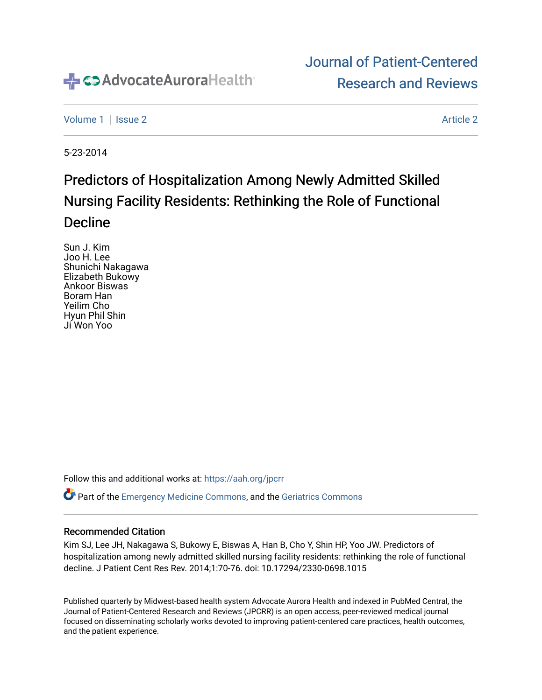

## [Journal of Patient-Centered](https://institutionalrepository.aah.org/jpcrr)  [Research and Reviews](https://institutionalrepository.aah.org/jpcrr)

[Volume 1](https://institutionalrepository.aah.org/jpcrr/vol1) | [Issue 2](https://institutionalrepository.aah.org/jpcrr/vol1/iss2) [Article 2](https://institutionalrepository.aah.org/jpcrr/vol1/iss2/2) Article 2 Article 2 Article 2 Article 2 Article 2 Article 2 Article 2 Article 2 Article 2 Article 2 Article 2 Article 2 Article 2 Article 2 Article 2 Article 2 Article 2 Article 2 Article 2 Art

5-23-2014

# Predictors of Hospitalization Among Newly Admitted Skilled Nursing Facility Residents: Rethinking the Role of Functional Decline

Sun J. Kim Joo H. Lee Shunichi Nakagawa Elizabeth Bukowy Ankoor Biswas Boram Han Yeilim Cho Hyun Phil Shin Ji Won Yoo

Follow this and additional works at: [https://aah.org/jpcrr](https://institutionalrepository.aah.org/jpcrr?utm_source=institutionalrepository.aah.org%2Fjpcrr%2Fvol1%2Fiss2%2F2&utm_medium=PDF&utm_campaign=PDFCoverPages) 

Part of the [Emergency Medicine Commons](http://network.bepress.com/hgg/discipline/685?utm_source=institutionalrepository.aah.org%2Fjpcrr%2Fvol1%2Fiss2%2F2&utm_medium=PDF&utm_campaign=PDFCoverPages), and the [Geriatrics Commons](http://network.bepress.com/hgg/discipline/688?utm_source=institutionalrepository.aah.org%2Fjpcrr%2Fvol1%2Fiss2%2F2&utm_medium=PDF&utm_campaign=PDFCoverPages) 

## Recommended Citation

Kim SJ, Lee JH, Nakagawa S, Bukowy E, Biswas A, Han B, Cho Y, Shin HP, Yoo JW. Predictors of hospitalization among newly admitted skilled nursing facility residents: rethinking the role of functional decline. J Patient Cent Res Rev. 2014;1:70-76. doi: 10.17294/2330-0698.1015

Published quarterly by Midwest-based health system Advocate Aurora Health and indexed in PubMed Central, the Journal of Patient-Centered Research and Reviews (JPCRR) is an open access, peer-reviewed medical journal focused on disseminating scholarly works devoted to improving patient-centered care practices, health outcomes, and the patient experience.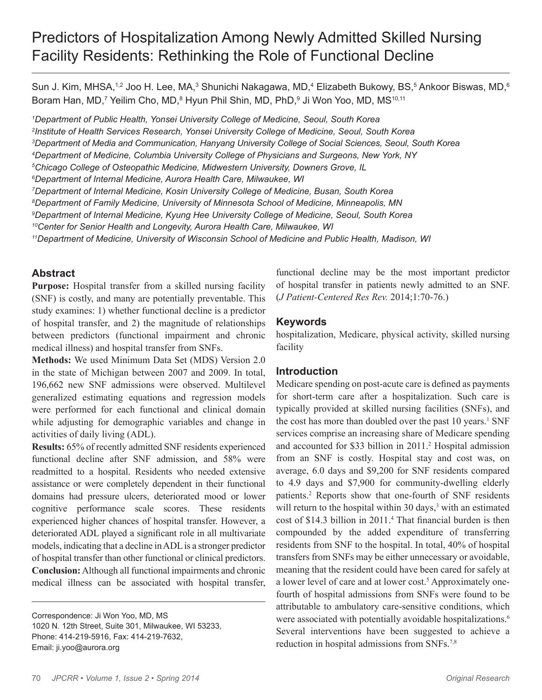## Predictors of Hospitalization Among Newly Admitted Skilled Nursing Facility Residents: Rethinking the Role of Functional Decline

Sun J. Kim, MHSA,1,2 Joo H. Lee, MA,<sup>3</sup> Shunichi Nakagawa, MD,<sup>4</sup> Elizabeth Bukowy, BS,<sup>5</sup> Ankoor Biswas, MD,<sup>6</sup> Boram Han, MD,<sup>7</sup> Yeilim Cho, MD,<sup>8</sup> Hyun Phil Shin, MD, PhD,<sup>9</sup> Ji Won Yoo, MD, MS<sup>10,11</sup>

 *Department of Public Health, Yonsei University College of Medicine, Seoul, South Korea Institute of Health Services Research, Yonsei University College of Medicine, Seoul, South Korea Department of Media and Communication, Hanyang University College of Social Sciences, Seoul, South Korea Department of Medicine, Columbia University College of Physicians and Surgeons, New York, NY Chicago College of Osteopathic Medicine, Midwestern University, Downers Grove, IL Department of Internal Medicine, Aurora Health Care, Milwaukee, WI Department of Internal Medicine, Kosin University College of Medicine, Busan, South Korea Department of Family Medicine, University of Minnesota School of Medicine, Minneapolis, MN Department of Internal Medicine, Kyung Hee University College of Medicine, Seoul, South Korea 10Center for Senior Health and Longevity, Aurora Health Care, Milwaukee, WI 11Department of Medicine, University of Wisconsin School of Medicine and Public Health, Madison, WI*

## **Abstract**

**Purpose:** Hospital transfer from a skilled nursing facility (SNF) is costly, and many are potentially preventable. This study examines: 1) whether functional decline is a predictor of hospital transfer, and 2) the magnitude of relationships between predictors (functional impairment and chronic medical illness) and hospital transfer from SNFs.

**Methods:** We used Minimum Data Set (MDS) Version 2.0 in the state of Michigan between 2007 and 2009. In total, 196,662 new SNF admissions were observed. Multilevel generalized estimating equations and regression models were performed for each functional and clinical domain while adjusting for demographic variables and change in activities of daily living (ADL).

**Results:** 65% of recently admitted SNF residents experienced functional decline after SNF admission, and 58% were readmitted to a hospital. Residents who needed extensive assistance or were completely dependent in their functional domains had pressure ulcers, deteriorated mood or lower cognitive performance scale scores. These residents experienced higher chances of hospital transfer. However, a deteriorated ADL played a significant role in all multivariate models, indicating that a decline in ADL is a stronger predictor of hospital transfer than other functional or clinical predictors. **Conclusion:** Although all functional impairments and chronic medical illness can be associated with hospital transfer,

Correspondence: Ji Won Yoo, MD, MS 1020 N. 12th Street, Suite 301, Milwaukee, WI 53233, Phone: 414-219-5916, Fax: 414-219-7632, Email: ji.yoo@aurora.org

functional decline may be the most important predictor of hospital transfer in patients newly admitted to an SNF. (*J Patient-Centered Res Rev.* 2014;1:70-76.)

## **Keywords**

hospitalization, Medicare, physical activity, skilled nursing facility

## **Introduction**

Medicare spending on post-acute care is defined as payments for short-term care after a hospitalization. Such care is typically provided at skilled nursing facilities (SNFs), and the cost has more than doubled over the past 10 years.<sup>1</sup> SNF services comprise an increasing share of Medicare spending and accounted for \$33 billion in 2011.<sup>2</sup> Hospital admission from an SNF is costly. Hospital stay and cost was, on average, 6.0 days and \$9,200 for SNF residents compared to 4.9 days and \$7,900 for community-dwelling elderly patients.2 Reports show that one-fourth of SNF residents will return to the hospital within 30 days,<sup>3</sup> with an estimated cost of \$14.3 billion in 2011.<sup>4</sup> That financial burden is then compounded by the added expenditure of transferring residents from SNF to the hospital. In total, 40% of hospital transfers from SNFs may be either unnecessary or avoidable, meaning that the resident could have been cared for safely at a lower level of care and at lower cost.<sup>5</sup> Approximately onefourth of hospital admissions from SNFs were found to be attributable to ambulatory care-sensitive conditions, which were associated with potentially avoidable hospitalizations.<sup>6</sup> Several interventions have been suggested to achieve a reduction in hospital admissions from SNFs.7,8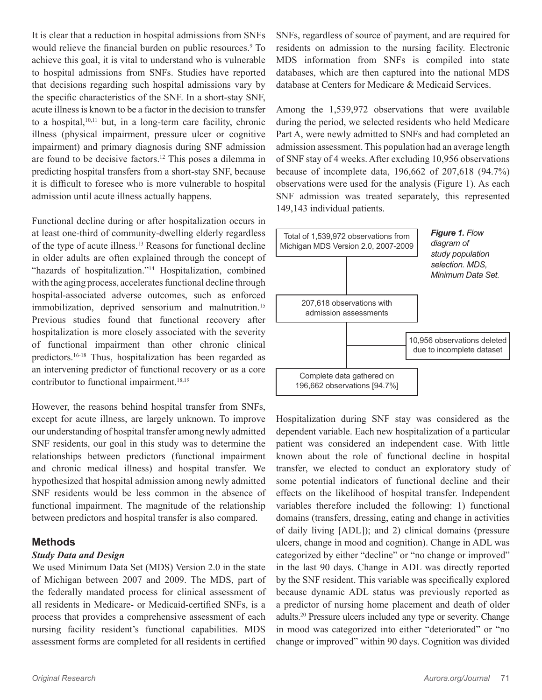It is clear that a reduction in hospital admissions from SNFs would relieve the financial burden on public resources.<sup>9</sup> To achieve this goal, it is vital to understand who is vulnerable to hospital admissions from SNFs. Studies have reported that decisions regarding such hospital admissions vary by the specific characteristics of the SNF. In a short-stay SNF, acute illness is known to be a factor in the decision to transfer to a hospital, $10,11$  but, in a long-term care facility, chronic illness (physical impairment, pressure ulcer or cognitive impairment) and primary diagnosis during SNF admission are found to be decisive factors.12 This poses a dilemma in predicting hospital transfers from a short-stay SNF, because it is difficult to foresee who is more vulnerable to hospital admission until acute illness actually happens.

Functional decline during or after hospitalization occurs in at least one-third of community-dwelling elderly regardless of the type of acute illness.13 Reasons for functional decline in older adults are often explained through the concept of "hazards of hospitalization."<sup>14</sup> Hospitalization, combined with the aging process, accelerates functional decline through hospital-associated adverse outcomes, such as enforced immobilization, deprived sensorium and malnutrition.<sup>15</sup> Previous studies found that functional recovery after hospitalization is more closely associated with the severity of functional impairment than other chronic clinical predictors.16-18 Thus, hospitalization has been regarded as an intervening predictor of functional recovery or as a core contributor to functional impairment.<sup>18,19</sup>

However, the reasons behind hospital transfer from SNFs, except for acute illness, are largely unknown. To improve our understanding of hospital transfer among newly admitted SNF residents, our goal in this study was to determine the relationships between predictors (functional impairment and chronic medical illness) and hospital transfer. We hypothesized that hospital admission among newly admitted SNF residents would be less common in the absence of functional impairment. The magnitude of the relationship between predictors and hospital transfer is also compared.

## **Methods**

#### *Study Data and Design*

We used Minimum Data Set (MDS) Version 2.0 in the state of Michigan between 2007 and 2009. The MDS, part of the federally mandated process for clinical assessment of all residents in Medicare- or Medicaid-certified SNFs, is a process that provides a comprehensive assessment of each nursing facility resident's functional capabilities. MDS assessment forms are completed for all residents in certified SNFs, regardless of source of payment, and are required for residents on admission to the nursing facility. Electronic MDS information from SNFs is compiled into state databases, which are then captured into the national MDS database at Centers for Medicare & Medicaid Services.

Among the 1,539,972 observations that were available during the period, we selected residents who held Medicare Part A, were newly admitted to SNFs and had completed an admission assessment. This population had an average length of SNF stay of 4 weeks. After excluding 10,956 observations because of incomplete data, 196,662 of 207,618 (94.7%) observations were used for the analysis (Figure 1). As each SNF admission was treated separately, this represented 149,143 individual patients.



Hospitalization during SNF stay was considered as the dependent variable. Each new hospitalization of a particular patient was considered an independent case. With little known about the role of functional decline in hospital transfer, we elected to conduct an exploratory study of some potential indicators of functional decline and their effects on the likelihood of hospital transfer. Independent variables therefore included the following: 1) functional domains (transfers, dressing, eating and change in activities of daily living [ADL]); and 2) clinical domains (pressure ulcers, change in mood and cognition). Change in ADL was categorized by either "decline" or "no change or improved" in the last 90 days. Change in ADL was directly reported by the SNF resident. This variable was specifically explored because dynamic ADL status was previously reported as a predictor of nursing home placement and death of older adults.20 Pressure ulcers included any type or severity. Change in mood was categorized into either "deteriorated" or "no change or improved" within 90 days. Cognition was divided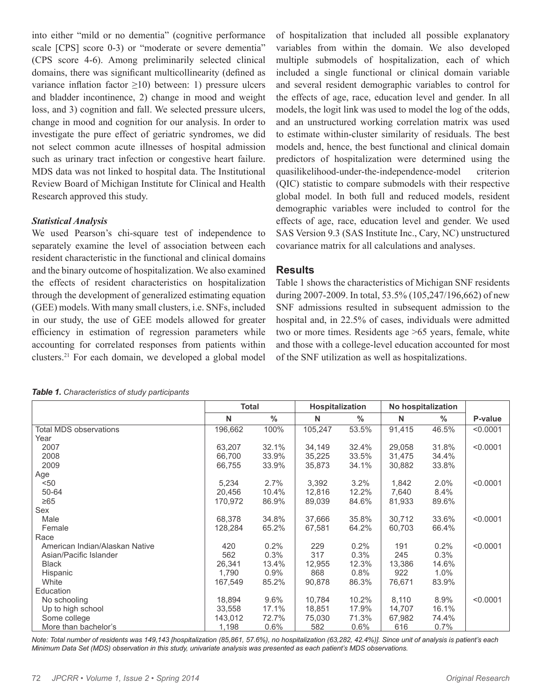into either "mild or no dementia" (cognitive performance scale [CPS] score 0-3) or "moderate or severe dementia" (CPS score 4-6). Among preliminarily selected clinical domains, there was significant multicollinearity (defined as variance inflation factor  $\geq$ 10) between: 1) pressure ulcers and bladder incontinence, 2) change in mood and weight loss, and 3) cognition and fall. We selected pressure ulcers, change in mood and cognition for our analysis. In order to investigate the pure effect of geriatric syndromes, we did not select common acute illnesses of hospital admission such as urinary tract infection or congestive heart failure. MDS data was not linked to hospital data. The Institutional Review Board of Michigan Institute for Clinical and Health Research approved this study.

#### *Statistical Analysis*

We used Pearson's chi-square test of independence to separately examine the level of association between each resident characteristic in the functional and clinical domains and the binary outcome of hospitalization. We also examined the effects of resident characteristics on hospitalization through the development of generalized estimating equation (GEE) models. With many small clusters, i.e. SNFs, included in our study, the use of GEE models allowed for greater efficiency in estimation of regression parameters while accounting for correlated responses from patients within clusters.21 For each domain, we developed a global model

of hospitalization that included all possible explanatory variables from within the domain. We also developed multiple submodels of hospitalization, each of which included a single functional or clinical domain variable and several resident demographic variables to control for the effects of age, race, education level and gender. In all models, the logit link was used to model the log of the odds, and an unstructured working correlation matrix was used to estimate within-cluster similarity of residuals. The best models and, hence, the best functional and clinical domain predictors of hospitalization were determined using the quasilikelihood-under-the-independence-model criterion (QIC) statistic to compare submodels with their respective global model. In both full and reduced models, resident demographic variables were included to control for the effects of age, race, education level and gender. We used SAS Version 9.3 (SAS Institute Inc., Cary, NC) unstructured covariance matrix for all calculations and analyses.

## **Results**

Table 1 shows the characteristics of Michigan SNF residents during 2007-2009. In total, 53.5% (105,247/196,662) of new SNF admissions resulted in subsequent admission to the hospital and, in 22.5% of cases, individuals were admitted two or more times. Residents age >65 years, female, white and those with a college-level education accounted for most of the SNF utilization as well as hospitalizations.

| Table 1. Characteristics of study participants |  |
|------------------------------------------------|--|
|------------------------------------------------|--|

|                                | <b>Total</b> |               | <b>Hospitalization</b> |               | No hospitalization |       |          |
|--------------------------------|--------------|---------------|------------------------|---------------|--------------------|-------|----------|
|                                | N            | $\frac{0}{0}$ | N                      | $\frac{0}{0}$ | N                  | $\%$  | P-value  |
| <b>Total MDS observations</b>  | 196,662      | 100%          | 105,247                | 53.5%         | 91,415             | 46.5% | < 0.0001 |
| Year                           |              |               |                        |               |                    |       |          |
| 2007                           | 63,207       | 32.1%         | 34,149                 | 32.4%         | 29,058             | 31.8% | < 0.0001 |
| 2008                           | 66,700       | 33.9%         | 35,225                 | 33.5%         | 31,475             | 34.4% |          |
| 2009                           | 66,755       | 33.9%         | 35,873                 | 34.1%         | 30,882             | 33.8% |          |
| Age                            |              |               |                        |               |                    |       |          |
| < 50                           | 5,234        | 2.7%          | 3,392                  | 3.2%          | 1,842              | 2.0%  | < 0.0001 |
| 50-64                          | 20,456       | 10.4%         | 12,816                 | 12.2%         | 7,640              | 8.4%  |          |
| $\geq 65$                      | 170,972      | 86.9%         | 89,039                 | 84.6%         | 81,933             | 89.6% |          |
| Sex                            |              |               |                        |               |                    |       |          |
| Male                           | 68,378       | 34.8%         | 37,666                 | 35.8%         | 30,712             | 33.6% | < 0.0001 |
| Female                         | 128,284      | 65.2%         | 67,581                 | 64.2%         | 60,703             | 66.4% |          |
| Race                           |              |               |                        |               |                    |       |          |
| American Indian/Alaskan Native | 420          | 0.2%          | 229                    | 0.2%          | 191                | 0.2%  | < 0.0001 |
| Asian/Pacific Islander         | 562          | 0.3%          | 317                    | 0.3%          | 245                | 0.3%  |          |
| <b>Black</b>                   | 26,341       | 13.4%         | 12,955                 | 12.3%         | 13,386             | 14.6% |          |
| Hispanic                       | 1,790        | $0.9\%$       | 868                    | 0.8%          | 922                | 1.0%  |          |
| White                          | 167,549      | 85.2%         | 90,878                 | 86.3%         | 76.671             | 83.9% |          |
| Education                      |              |               |                        |               |                    |       |          |
| No schooling                   | 18,894       | 9.6%          | 10,784                 | 10.2%         | 8,110              | 8.9%  | < 0.0001 |
| Up to high school              | 33,558       | 17.1%         | 18,851                 | 17.9%         | 14,707             | 16.1% |          |
| Some college                   | 143,012      | 72.7%         | 75,030                 | 71.3%         | 67,982             | 74.4% |          |
| More than bachelor's           | 1,198        | 0.6%          | 582                    | 0.6%          | 616                | 0.7%  |          |

*Note: Total number of residents was 149,143 [hospitalization (85,861, 57.6%), no hospitalization (63,282, 42.4%)]. Since unit of analysis is patient's each Minimum Data Set (MDS) observation in this study, univariate analysis was presented as each patient's MDS observations.*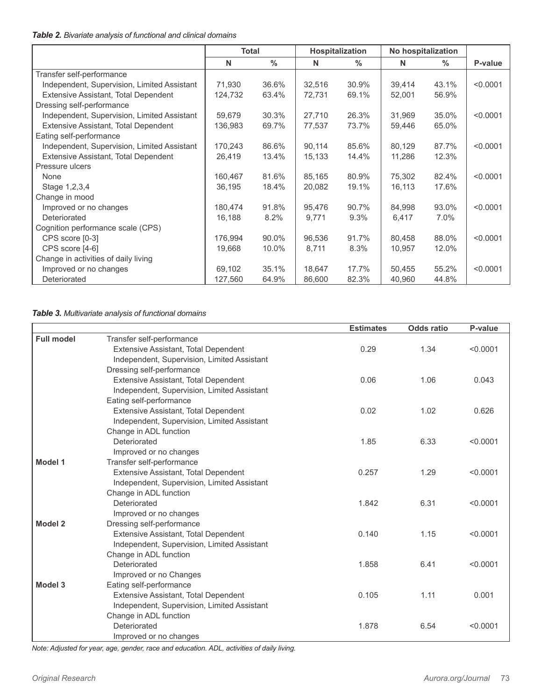#### *Table 2. Bivariate analysis of functional and clinical domains*

|                                             | <b>Total</b> |               | <b>Hospitalization</b> |               | No hospitalization |               |          |
|---------------------------------------------|--------------|---------------|------------------------|---------------|--------------------|---------------|----------|
|                                             | N            | $\frac{0}{0}$ | N                      | $\frac{0}{0}$ | N                  | $\frac{0}{0}$ | P-value  |
| Transfer self-performance                   |              |               |                        |               |                    |               |          |
| Independent, Supervision, Limited Assistant | 71,930       | 36.6%         | 32,516                 | 30.9%         | 39,414             | 43.1%         | < 0.0001 |
| Extensive Assistant, Total Dependent        | 124,732      | 63.4%         | 72,731                 | 69.1%         | 52,001             | 56.9%         |          |
| Dressing self-performance                   |              |               |                        |               |                    |               |          |
| Independent, Supervision, Limited Assistant | 59.679       | 30.3%         | 27,710                 | 26.3%         | 31,969             | 35.0%         | < 0.0001 |
| Extensive Assistant, Total Dependent        | 136,983      | 69.7%         | 77,537                 | 73.7%         | 59,446             | 65.0%         |          |
| Eating self-performance                     |              |               |                        |               |                    |               |          |
| Independent, Supervision, Limited Assistant | 170,243      | 86.6%         | 90,114                 | 85.6%         | 80,129             | 87.7%         | < 0.0001 |
| Extensive Assistant, Total Dependent        | 26,419       | 13.4%         | 15,133                 | 14.4%         | 11,286             | 12.3%         |          |
| Pressure ulcers                             |              |               |                        |               |                    |               |          |
| None                                        | 160,467      | 81.6%         | 85.165                 | 80.9%         | 75,302             | 82.4%         | < 0.0001 |
| Stage 1, 2, 3, 4                            | 36,195       | 18.4%         | 20,082                 | 19.1%         | 16,113             | 17.6%         |          |
| Change in mood                              |              |               |                        |               |                    |               |          |
| Improved or no changes                      | 180,474      | 91.8%         | 95,476                 | 90.7%         | 84,998             | 93.0%         | < 0.0001 |
| Deteriorated                                | 16,188       | 8.2%          | 9,771                  | 9.3%          | 6,417              | 7.0%          |          |
| Cognition performance scale (CPS)           |              |               |                        |               |                    |               |          |
| CPS score [0-3]                             | 176,994      | 90.0%         | 96,536                 | 91.7%         | 80,458             | 88.0%         | < 0.0001 |
| CPS score [4-6]                             | 19,668       | 10.0%         | 8,711                  | 8.3%          | 10,957             | 12.0%         |          |
| Change in activities of daily living        |              |               |                        |               |                    |               |          |
| Improved or no changes                      | 69,102       | 35.1%         | 18,647                 | 17.7%         | 50,455             | 55.2%         | < 0.0001 |
| Deteriorated                                | 127,560      | 64.9%         | 86,600                 | 82.3%         | 40,960             | 44.8%         |          |

#### *Table 3. Multivariate analysis of functional domains*

|                   |                                             | <b>Estimates</b> | <b>Odds ratio</b> | P-value  |
|-------------------|---------------------------------------------|------------------|-------------------|----------|
| <b>Full model</b> | Transfer self-performance                   |                  |                   |          |
|                   | Extensive Assistant, Total Dependent        | 0.29             | 1.34              | < 0.0001 |
|                   | Independent, Supervision, Limited Assistant |                  |                   |          |
|                   | Dressing self-performance                   |                  |                   |          |
|                   | Extensive Assistant, Total Dependent        | 0.06             | 1.06              | 0.043    |
|                   | Independent, Supervision, Limited Assistant |                  |                   |          |
|                   | Eating self-performance                     |                  |                   |          |
|                   | Extensive Assistant, Total Dependent        | 0.02             | 1.02              | 0.626    |
|                   | Independent, Supervision, Limited Assistant |                  |                   |          |
|                   | Change in ADL function                      |                  |                   |          |
|                   | Deteriorated                                | 1.85             | 6.33              | < 0.0001 |
|                   | Improved or no changes                      |                  |                   |          |
| Model 1           | Transfer self-performance                   |                  |                   |          |
|                   | Extensive Assistant, Total Dependent        | 0.257            | 1.29              | < 0.0001 |
|                   | Independent, Supervision, Limited Assistant |                  |                   |          |
|                   | Change in ADL function                      |                  |                   |          |
|                   | Deteriorated                                | 1.842            | 6.31              | < 0.0001 |
|                   | Improved or no changes                      |                  |                   |          |
| <b>Model 2</b>    | Dressing self-performance                   |                  |                   |          |
|                   | Extensive Assistant, Total Dependent        | 0.140            | 1.15              | < 0.0001 |
|                   | Independent, Supervision, Limited Assistant |                  |                   |          |
|                   | Change in ADL function                      |                  |                   |          |
|                   | Deteriorated                                | 1.858            | 6.41              | < 0.0001 |
|                   | Improved or no Changes                      |                  |                   |          |
| Model 3           | Eating self-performance                     |                  |                   |          |
|                   | Extensive Assistant, Total Dependent        | 0.105            | 1.11              | 0.001    |
|                   | Independent, Supervision, Limited Assistant |                  |                   |          |
|                   | Change in ADL function                      |                  |                   |          |
|                   | Deteriorated                                | 1.878            | 6.54              | < 0.0001 |
|                   | Improved or no changes                      |                  |                   |          |

*Note: Adjusted for year, age, gender, race and education. ADL, activities of daily living.*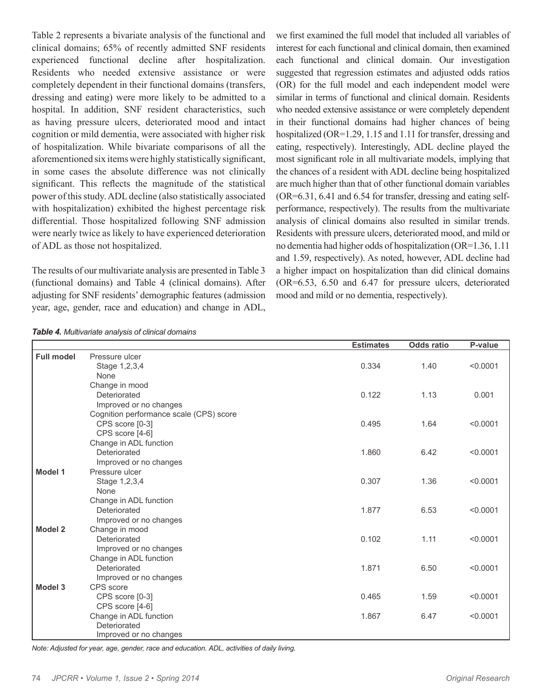Table 2 represents a bivariate analysis of the functional and clinical domains; 65% of recently admitted SNF residents experienced functional decline after hospitalization. Residents who needed extensive assistance or were completely dependent in their functional domains (transfers, dressing and eating) were more likely to be admitted to a hospital. In addition, SNF resident characteristics, such as having pressure ulcers, deteriorated mood and intact cognition or mild dementia, were associated with higher risk of hospitalization. While bivariate comparisons of all the aforementioned six items were highly statistically significant, in some cases the absolute difference was not clinically significant. This reflects the magnitude of the statistical power of this study. ADL decline (also statistically associated with hospitalization) exhibited the highest percentage risk differential. Those hospitalized following SNF admission were nearly twice as likely to have experienced deterioration of ADL as those not hospitalized.

The results of our multivariate analysis are presented in Table 3 (functional domains) and Table 4 (clinical domains). After adjusting for SNF residents' demographic features (admission year, age, gender, race and education) and change in ADL, we first examined the full model that included all variables of interest for each functional and clinical domain, then examined each functional and clinical domain. Our investigation suggested that regression estimates and adjusted odds ratios (OR) for the full model and each independent model were similar in terms of functional and clinical domain. Residents who needed extensive assistance or were completely dependent in their functional domains had higher chances of being hospitalized (OR=1.29, 1.15 and 1.11 for transfer, dressing and eating, respectively). Interestingly, ADL decline played the most significant role in all multivariate models, implying that the chances of a resident with ADL decline being hospitalized are much higher than that of other functional domain variables (OR=6.31, 6.41 and 6.54 for transfer, dressing and eating selfperformance, respectively). The results from the multivariate analysis of clinical domains also resulted in similar trends. Residents with pressure ulcers, deteriorated mood, and mild or no dementia had higher odds of hospitalization (OR=1.36, 1.11 and 1.59, respectively). As noted, however, ADL decline had a higher impact on hospitalization than did clinical domains (OR=6.53, 6.50 and 6.47 for pressure ulcers, deteriorated mood and mild or no dementia, respectively).

|                   |                                         | <b>Estimates</b> | <b>Odds ratio</b> | P-value  |
|-------------------|-----------------------------------------|------------------|-------------------|----------|
| <b>Full model</b> | Pressure ulcer                          |                  |                   |          |
|                   | Stage 1,2,3,4                           | 0.334            | 1.40              | < 0.0001 |
|                   | None                                    |                  |                   |          |
|                   | Change in mood                          |                  |                   |          |
|                   | Deteriorated                            | 0.122            | 1.13              | 0.001    |
|                   | Improved or no changes                  |                  |                   |          |
|                   | Cognition performance scale (CPS) score |                  |                   |          |
|                   | CPS score [0-3]                         | 0.495            | 1.64              | < 0.0001 |
|                   | CPS score [4-6]                         |                  |                   |          |
|                   | Change in ADL function                  |                  |                   |          |
|                   | Deteriorated                            | 1.860            | 6.42              | < 0.0001 |
|                   | Improved or no changes                  |                  |                   |          |
| Model 1           | Pressure ulcer                          |                  |                   |          |
|                   | Stage 1,2,3,4                           | 0.307            | 1.36              | < 0.0001 |
|                   | None                                    |                  |                   |          |
|                   | Change in ADL function                  |                  |                   |          |
|                   | Deteriorated                            | 1.877            | 6.53              | < 0.0001 |
|                   | Improved or no changes                  |                  |                   |          |
| <b>Model 2</b>    | Change in mood                          |                  |                   |          |
|                   | Deteriorated                            | 0.102            | 1.11              | < 0.0001 |
|                   | Improved or no changes                  |                  |                   |          |
|                   | Change in ADL function                  |                  |                   |          |
|                   | Deteriorated                            | 1.871            | 6.50              | < 0.0001 |
|                   | Improved or no changes                  |                  |                   |          |
| Model 3           | CPS score                               |                  |                   |          |
|                   | CPS score [0-3]                         | 0.465            | 1.59              | < 0.0001 |
|                   | CPS score [4-6]                         |                  |                   |          |
|                   | Change in ADL function                  | 1.867            | 6.47              | < 0.0001 |
|                   | Deteriorated                            |                  |                   |          |
|                   | Improved or no changes                  |                  |                   |          |

*Table 4. Multivariate analysis of clinical domains*

*Note: Adjusted for year, age, gender, race and education. ADL, activities of daily living.*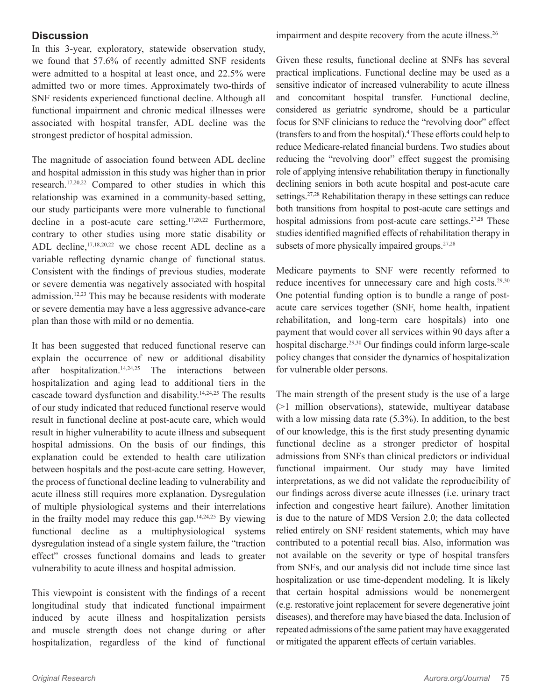## **Discussion**

In this 3-year, exploratory, statewide observation study, we found that 57.6% of recently admitted SNF residents were admitted to a hospital at least once, and 22.5% were admitted two or more times. Approximately two-thirds of SNF residents experienced functional decline. Although all functional impairment and chronic medical illnesses were associated with hospital transfer, ADL decline was the strongest predictor of hospital admission.

The magnitude of association found between ADL decline and hospital admission in this study was higher than in prior research.17,20,22 Compared to other studies in which this relationship was examined in a community-based setting, our study participants were more vulnerable to functional decline in a post-acute care setting.17,20,22 Furthermore, contrary to other studies using more static disability or ADL decline,<sup>17,18,20,22</sup> we chose recent ADL decline as a variable reflecting dynamic change of functional status. Consistent with the findings of previous studies, moderate or severe dementia was negatively associated with hospital admission.12,23 This may be because residents with moderate or severe dementia may have a less aggressive advance-care plan than those with mild or no dementia.

It has been suggested that reduced functional reserve can explain the occurrence of new or additional disability after hospitalization. $14,24,25$  The interactions between hospitalization and aging lead to additional tiers in the cascade toward dysfunction and disability.14,24,25 The results of our study indicated that reduced functional reserve would result in functional decline at post-acute care, which would result in higher vulnerability to acute illness and subsequent hospital admissions. On the basis of our findings, this explanation could be extended to health care utilization between hospitals and the post-acute care setting. However, the process of functional decline leading to vulnerability and acute illness still requires more explanation. Dysregulation of multiple physiological systems and their interrelations in the frailty model may reduce this gap.<sup>14,24,25</sup> By viewing functional decline as a multiphysiological systems dysregulation instead of a single system failure, the "traction effect" crosses functional domains and leads to greater vulnerability to acute illness and hospital admission.

This viewpoint is consistent with the findings of a recent longitudinal study that indicated functional impairment induced by acute illness and hospitalization persists and muscle strength does not change during or after hospitalization, regardless of the kind of functional

impairment and despite recovery from the acute illness.<sup>26</sup>

Given these results, functional decline at SNFs has several practical implications. Functional decline may be used as a sensitive indicator of increased vulnerability to acute illness and concomitant hospital transfer. Functional decline, considered as geriatric syndrome, should be a particular focus for SNF clinicians to reduce the "revolving door" effect (transfers to and from the hospital).4 These efforts could help to reduce Medicare-related financial burdens. Two studies about reducing the "revolving door" effect suggest the promising role of applying intensive rehabilitation therapy in functionally declining seniors in both acute hospital and post-acute care settings.<sup>27,28</sup> Rehabilitation therapy in these settings can reduce both transitions from hospital to post-acute care settings and hospital admissions from post-acute care settings.<sup>27,28</sup> These studies identified magnified effects of rehabilitation therapy in subsets of more physically impaired groups.<sup>27,28</sup>

Medicare payments to SNF were recently reformed to reduce incentives for unnecessary care and high costs.<sup>29,30</sup> One potential funding option is to bundle a range of postacute care services together (SNF, home health, inpatient rehabilitation, and long-term care hospitals) into one payment that would cover all services within 90 days after a hospital discharge.<sup>29,30</sup> Our findings could inform large-scale policy changes that consider the dynamics of hospitalization for vulnerable older persons.

The main strength of the present study is the use of a large (>1 million observations), statewide, multiyear database with a low missing data rate  $(5.3\%)$ . In addition, to the best of our knowledge, this is the first study presenting dynamic functional decline as a stronger predictor of hospital admissions from SNFs than clinical predictors or individual functional impairment. Our study may have limited interpretations, as we did not validate the reproducibility of our findings across diverse acute illnesses (i.e. urinary tract infection and congestive heart failure). Another limitation is due to the nature of MDS Version 2.0; the data collected relied entirely on SNF resident statements, which may have contributed to a potential recall bias. Also, information was not available on the severity or type of hospital transfers from SNFs, and our analysis did not include time since last hospitalization or use time-dependent modeling. It is likely that certain hospital admissions would be nonemergent (e.g. restorative joint replacement for severe degenerative joint diseases), and therefore may have biased the data. Inclusion of repeated admissions of the same patient may have exaggerated or mitigated the apparent effects of certain variables.